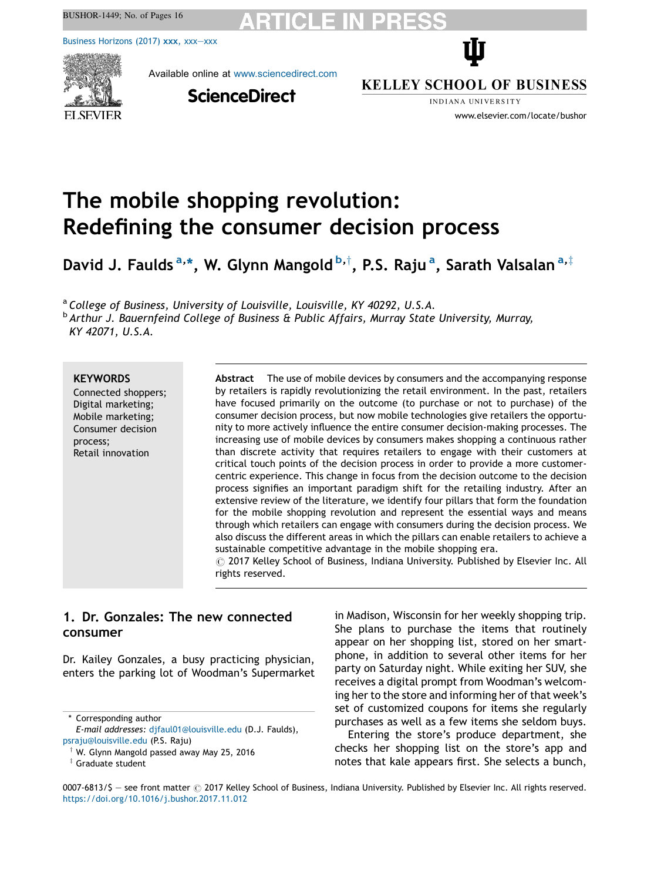$\mathcal{B}(\mathcal{A})$ 

Business [Horizons](https://doi.org/10.1016/j.bushor.2017.11.012) (2017) xxx, xxx—xxx



Available online at [www.sciencedirect.com](http://www.sciencedirect.com/science/journal/00076813)

**ScienceDirect** 

**KELLEY SCHOOL OF BUSINESS** 

Ŵ

INDIANA UNIVERSITY www.elsevier.com/locate/bushor

# The mobile shopping revolution: Redefining the consumer decision process

David J. Faulds <sup>a,</sup>\*, W. Glynn Mangold <sup>b,†</sup>, P.S. Raju <sup>a</sup>, Sarath Valsalan <sup>a,‡</sup>

<sup>a</sup> College of Business, University of Louisville, Louisville, KY 40292, U.S.A.

<sup>b</sup> Arthur J. Bauernfeind College of Business & Public Affairs, Murray State University, Murray, KY 42071, U.S.A.

### **KEYWORDS**

Connected shoppers; Digital marketing; Mobile marketing; Consumer decision process; Retail innovation

Abstract The use of mobile devices by consumers and the accompanying response by retailers is rapidly revolutionizing the retail environment. In the past, retailers have focused primarily on the outcome (to purchase or not to purchase) of the consumer decision process, but now mobile technologies give retailers the opportunity to more actively influence the entire consumer decision-making processes. The increasing use of mobile devices by consumers makes shopping a continuous rather than discrete activity that requires retailers to engage with their customers at critical touch points of the decision process in order to provide a more customercentric experience. This change in focus from the decision outcome to the decision process signifies an important paradigm shift for the retailing industry. After an extensive review of the literature, we identify four pillars that form the foundation for the mobile shopping revolution and represent the essential ways and means through which retailers can engage with consumers during the decision process. We also discuss the different areas in which the pillars can enable retailers to achieve a sustainable competitive advantage in the mobile shopping era.

 $\odot$  2017 Kelley School of Business, Indiana University. Published by Elsevier Inc. All rights reserved.

### 1. Dr. Gonzales: The new connected consumer

Dr. Kailey Gonzales, a busy practicing physician, enters the parking lot of Woodman's Supermarket

\* Corresponding author

in Madison, Wisconsin for her weekly shopping trip. She plans to purchase the items that routinely appear on her shopping list, stored on her smartphone, in addition to several other items for her party on Saturday night. While exiting her SUV, she receives a digital prompt from Woodman's welcoming her to the store and informing her of that week's set of customized coupons for items she regularly purchases as well as a few items she seldom buys.

Entering the store's produce department, she checks her shopping list on the store's app and notes that kale appears first. She selects a bunch,

0007-6813/\$ - see front matter  $\odot$  2017 Kelley School of Business, Indiana University. Published by Elsevier Inc. All rights reserved. <https://doi.org/10.1016/j.bushor.2017.11.012>

E-mail addresses: [djfaul01@louisville.edu](mailto:djfaul01@louisville.edu) (D.J. Faulds), [psraju@louisville.edu](mailto:psraju@louisville.edu) (P.S. Raju)

 $\dagger$  W. Glynn Mangold passed away May 25, 2016

 $*$  Graduate student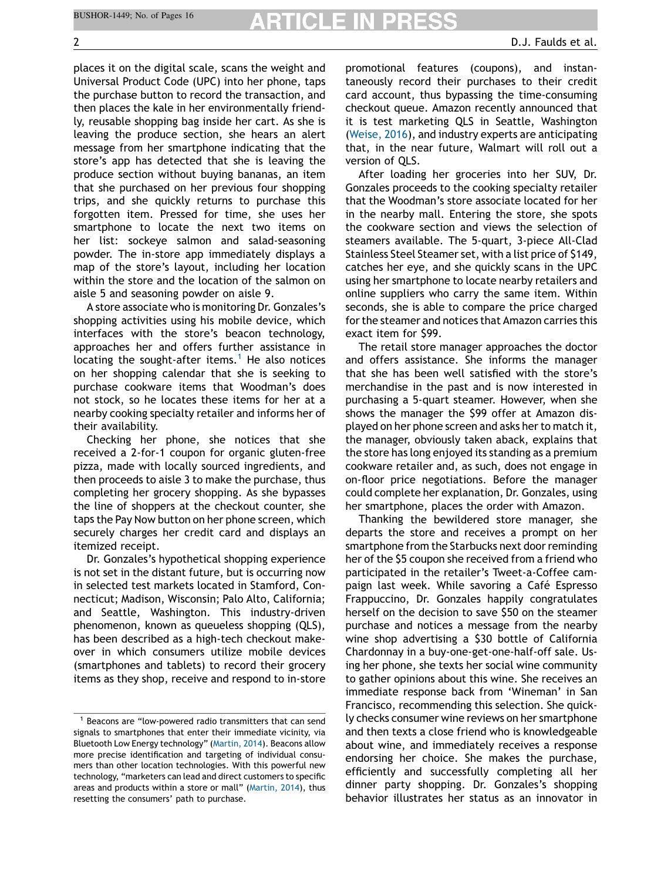places it on the digital scale, scans the weight and Universal Product Code (UPC) into her phone, taps the purchase button to record the transaction, and then places the kale in her environmentally friendly, reusable shopping bag inside her cart. As she is leaving the produce section, she hears an alert message from her smartphone indicating that the store's app has detected that she is leaving the produce section without buying bananas, an item that she purchased on her previous four shopping trips, and she quickly returns to purchase this forgotten item. Pressed for time, she uses her smartphone to locate the next two items on her list: sockeye salmon and salad-seasoning powder. The in-store app immediately displays a map of the store's layout, including her location within the store and the location of the salmon on aisle 5 and seasoning powder on aisle 9.

A store associate who is monitoring Dr. Gonzales's shopping activities using his mobile device, which interfaces with the store's beacon technology, approaches her and offers further assistance in locating the sought-after items.<sup>1</sup> He also notices on her shopping calendar that she is seeking to purchase cookware items that Woodman's does not stock, so he locates these items for her at a nearby cooking specialty retailer and informs her of their availability.

Checking her phone, she notices that she received a 2-for-1 coupon for organic gluten-free pizza, made with locally sourced ingredients, and then proceeds to aisle 3 to make the purchase, thus completing her grocery shopping. As she bypasses the line of shoppers at the checkout counter, she taps the Pay Now button on her phone screen, which securely charges her credit card and displays an itemized receipt.

Dr. Gonzales's hypothetical shopping experience is not set in the distant future, but is occurring now in selected test markets located in Stamford, Connecticut; Madison, Wisconsin; Palo Alto, California; and Seattle, Washington. This industry-driven phenomenon, known as queueless shopping (QLS), has been described as a high-tech checkout makeover in which consumers utilize mobile devices (smartphones and tablets) to record their grocery items as they shop, receive and respond to in-store promotional features (coupons), and instantaneously record their purchases to their credit card account, thus bypassing the time-consuming checkout queue. Amazon recently announced that it is test marketing QLS in Seattle, Washington (Weise, 2016), and industry experts are anticipating that, in the near future, Walmart will roll out a version of QLS.

After loading her groceries into her SUV, Dr. Gonzales proceeds to the cooking specialty retailer that the Woodman's store associate located for her in the nearby mall. Entering the store, she spots the cookware section and views the selection of steamers available. The 5-quart, 3-piece All-Clad Stainless Steel Steamer set, with a list price of \$149, catches her eye, and she quickly scans in the UPC using her smartphone to locate nearby retailers and online suppliers who carry the same item. Within seconds, she is able to compare the price charged for the steamer and notices that Amazon carries this exact item for \$99.

The retail store manager approaches the doctor and offers assistance. She informs the manager that she has been well satisfied with the store's merchandise in the past and is now interested in purchasing a 5-quart steamer. However, when she shows the manager the \$99 offer at Amazon displayed on her phone screen and asks her to match it, the manager, obviously taken aback, explains that the store has long enjoyed its standing as a premium cookware retailer and, as such, does not engage in on-floor price negotiations. Before the manager could complete her explanation, Dr. Gonzales, using her smartphone, places the order with Amazon.

Thanking the bewildered store manager, she departs the store and receives a prompt on her smartphone from the Starbucks next door reminding her of the \$5 coupon she received from a friend who participated in the retailer's Tweet-a-Coffee campaign last week. While savoring a Café Espresso Frappuccino, Dr. Gonzales happily congratulates herself on the decision to save \$50 on the steamer purchase and notices a message from the nearby wine shop advertising a \$30 bottle of California Chardonnay in a buy-one-get-one-half-off sale. Using her phone, she texts her social wine community to gather opinions about this wine. She receives an immediate response back from 'Wineman' in San Francisco, recommending this selection. She quickly checks consumer wine reviews on her smartphone and then texts a close friend who is knowledgeable about wine, and immediately receives a response endorsing her choice. She makes the purchase, efficiently and successfully completing all her dinner party shopping. Dr. Gonzales's shopping behavior illustrates her status as an innovator in

 $1$  Beacons are "low-powered radio transmitters that can send signals to smartphones that enter their immediate vicinity, via Bluetooth Low Energy technology" (Martin, 2014). Beacons allow more precise identification and targeting of individual consumers than other location technologies. With this powerful new technology, "marketers can lead and direct customers to specific areas and products within a store or mall" (Martin, 2014), thus resetting the consumers' path to purchase.